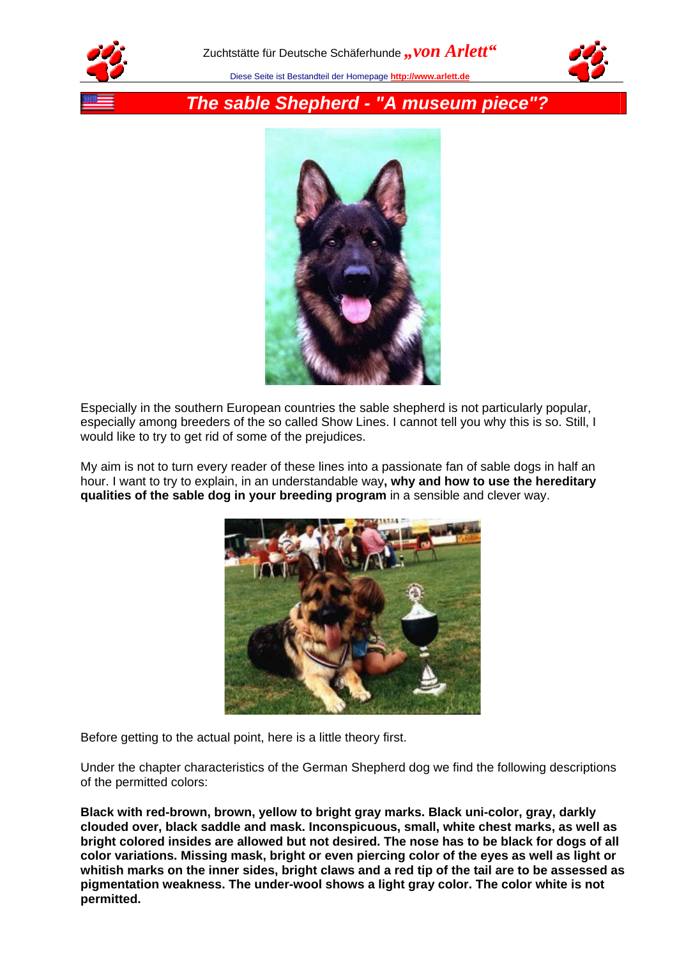





*The sable Shepherd - "A museum piece"?*



Especially in the southern European countries the sable shepherd is not particularly popular, especially among breeders of the so called Show Lines. I cannot tell you why this is so. Still, I would like to try to get rid of some of the prejudices.

My aim is not to turn every reader of these lines into a passionate fan of sable dogs in half an hour. I want to try to explain, in an understandable way**, why and how to use the hereditary qualities of the sable dog in your breeding program** in a sensible and clever way.



Before getting to the actual point, here is a little theory first.

Under the chapter characteristics of the German Shepherd dog we find the following descriptions of the permitted colors:

**Black with red-brown, brown, yellow to bright gray marks. Black uni-color, gray, darkly clouded over, black saddle and mask. Inconspicuous, small, white chest marks, as well as bright colored insides are allowed but not desired. The nose has to be black for dogs of all color variations. Missing mask, bright or even piercing color of the eyes as well as light or whitish marks on the inner sides, bright claws and a red tip of the tail are to be assessed as pigmentation weakness. The under-wool shows a light gray color. The color white is not permitted.**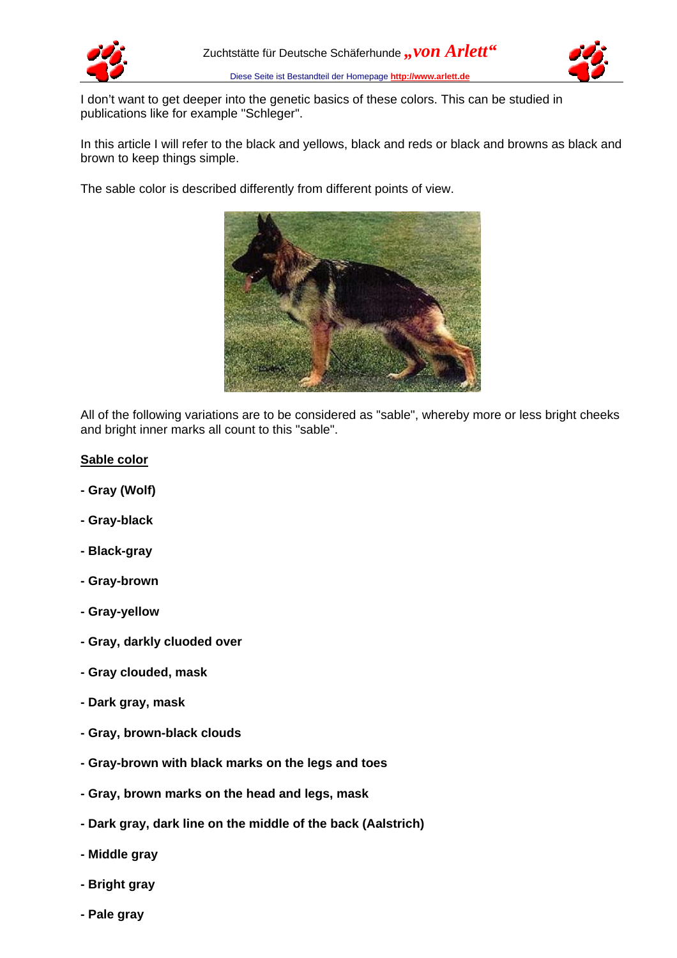



I don't want to get deeper into the genetic basics of these colors. This can be studied in publications like for example "Schleger".

In this article I will refer to the black and yellows, black and reds or black and browns as black and brown to keep things simple.

The sable color is described differently from different points of view.



All of the following variations are to be considered as "sable", whereby more or less bright cheeks and bright inner marks all count to this "sable".

## **Sable color**

- **Gray (Wolf)**
- **Gray-black**
- **Black-gray**
- **Gray-brown**
- **Gray-yellow**
- **Gray, darkly cluoded over**
- **Gray clouded, mask**
- **Dark gray, mask**
- **Gray, brown-black clouds**
- **Gray-brown with black marks on the legs and toes**
- **Gray, brown marks on the head and legs, mask**
- **Dark gray, dark line on the middle of the back (Aalstrich)**
- **Middle gray**
- **Bright gray**
- **Pale gray**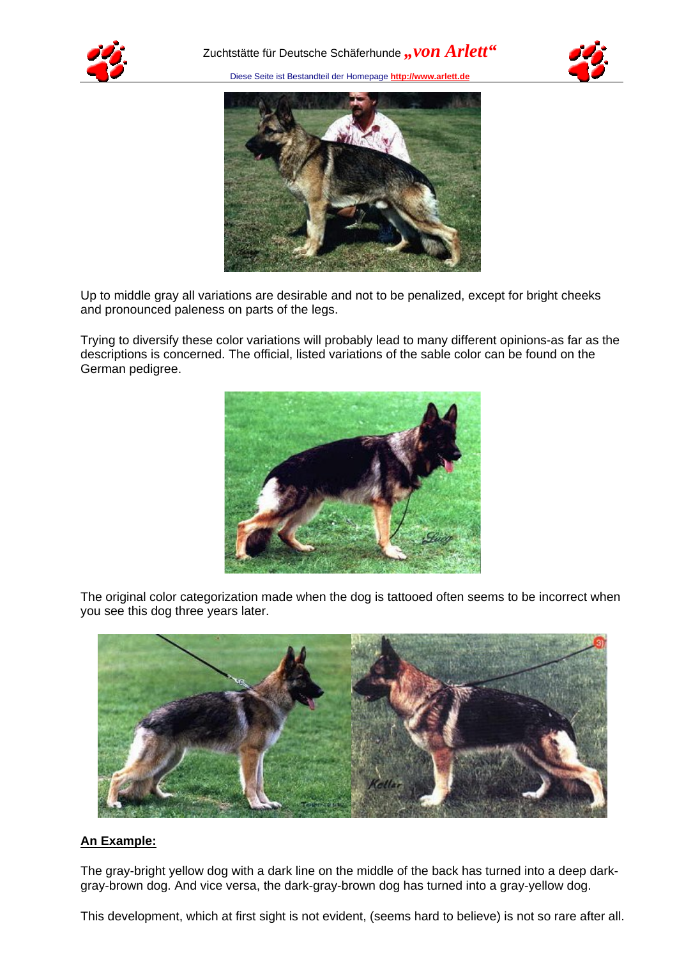





Up to middle gray all variations are desirable and not to be penalized, except for bright cheeks and pronounced paleness on parts of the legs.

Trying to diversify these color variations will probably lead to many different opinions-as far as the descriptions is concerned. The official, listed variations of the sable color can be found on the German pedigree.



The original color categorization made when the dog is tattooed often seems to be incorrect when you see this dog three years later.



# **An Example:**

The gray-bright yellow dog with a dark line on the middle of the back has turned into a deep darkgray-brown dog. And vice versa, the dark-gray-brown dog has turned into a gray-yellow dog.

This development, which at first sight is not evident, (seems hard to believe) is not so rare after all.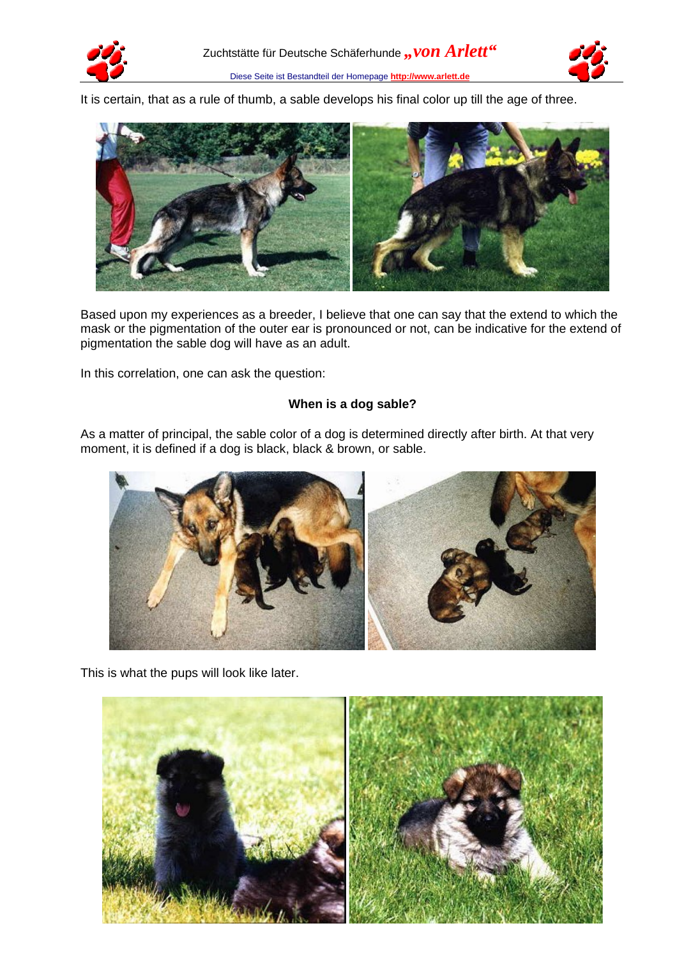



It is certain, that as a rule of thumb, a sable develops his final color up till the age of three.



Based upon my experiences as a breeder, I believe that one can say that the extend to which the mask or the pigmentation of the outer ear is pronounced or not, can be indicative for the extend of pigmentation the sable dog will have as an adult.

In this correlation, one can ask the question:

# **When is a dog sable?**

As a matter of principal, the sable color of a dog is determined directly after birth. At that very moment, it is defined if a dog is black, black & brown, or sable.



This is what the pups will look like later.

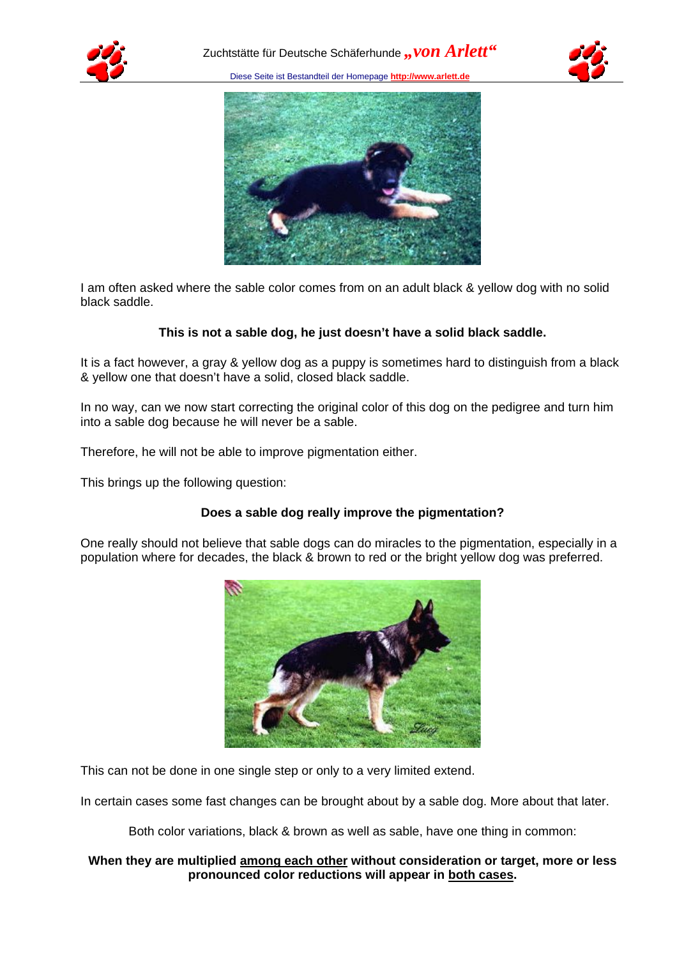





I am often asked where the sable color comes from on an adult black & yellow dog with no solid black saddle.

## **This is not a sable dog, he just doesn't have a solid black saddle.**

It is a fact however, a gray & yellow dog as a puppy is sometimes hard to distinguish from a black & yellow one that doesn't have a solid, closed black saddle.

In no way, can we now start correcting the original color of this dog on the pedigree and turn him into a sable dog because he will never be a sable.

Therefore, he will not be able to improve pigmentation either.

This brings up the following question:

# **Does a sable dog really improve the pigmentation?**

One really should not believe that sable dogs can do miracles to the pigmentation, especially in a population where for decades, the black & brown to red or the bright yellow dog was preferred.



This can not be done in one single step or only to a very limited extend.

In certain cases some fast changes can be brought about by a sable dog. More about that later.

Both color variations, black & brown as well as sable, have one thing in common:

#### **When they are multiplied among each other without consideration or target, more or less pronounced color reductions will appear in both cases.**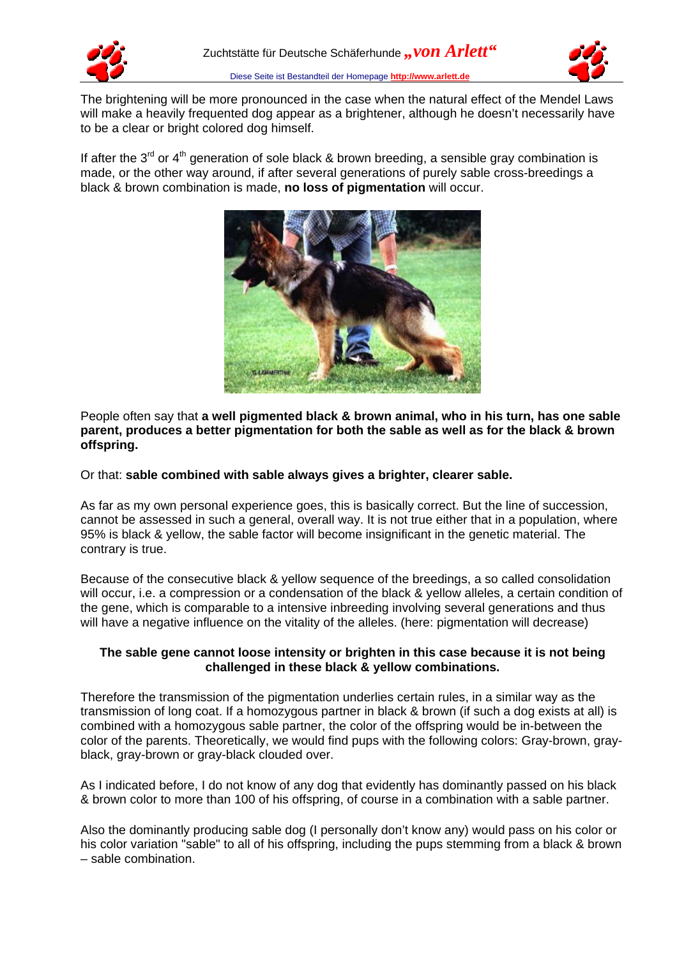



The brightening will be more pronounced in the case when the natural effect of the Mendel Laws will make a heavily frequented dog appear as a brightener, although he doesn't necessarily have to be a clear or bright colored dog himself.

If after the  $3^{rd}$  or  $4^{th}$  generation of sole black & brown breeding, a sensible gray combination is made, or the other way around, if after several generations of purely sable cross-breedings a black & brown combination is made, **no loss of pigmentation** will occur.



People often say that **a well pigmented black & brown animal, who in his turn, has one sable parent, produces a better pigmentation for both the sable as well as for the black & brown offspring.**

Or that: **sable combined with sable always gives a brighter, clearer sable.**

As far as my own personal experience goes, this is basically correct. But the line of succession, cannot be assessed in such a general, overall way. It is not true either that in a population, where 95% is black & yellow, the sable factor will become insignificant in the genetic material. The contrary is true.

Because of the consecutive black & yellow sequence of the breedings, a so called consolidation will occur, i.e. a compression or a condensation of the black & yellow alleles, a certain condition of the gene, which is comparable to a intensive inbreeding involving several generations and thus will have a negative influence on the vitality of the alleles. (here: pigmentation will decrease)

# **The sable gene cannot loose intensity or brighten in this case because it is not being challenged in these black & yellow combinations.**

Therefore the transmission of the pigmentation underlies certain rules, in a similar way as the transmission of long coat. If a homozygous partner in black & brown (if such a dog exists at all) is combined with a homozygous sable partner, the color of the offspring would be in-between the color of the parents. Theoretically, we would find pups with the following colors: Gray-brown, grayblack, gray-brown or gray-black clouded over.

As I indicated before, I do not know of any dog that evidently has dominantly passed on his black & brown color to more than 100 of his offspring, of course in a combination with a sable partner.

Also the dominantly producing sable dog (I personally don't know any) would pass on his color or his color variation "sable" to all of his offspring, including the pups stemming from a black & brown – sable combination.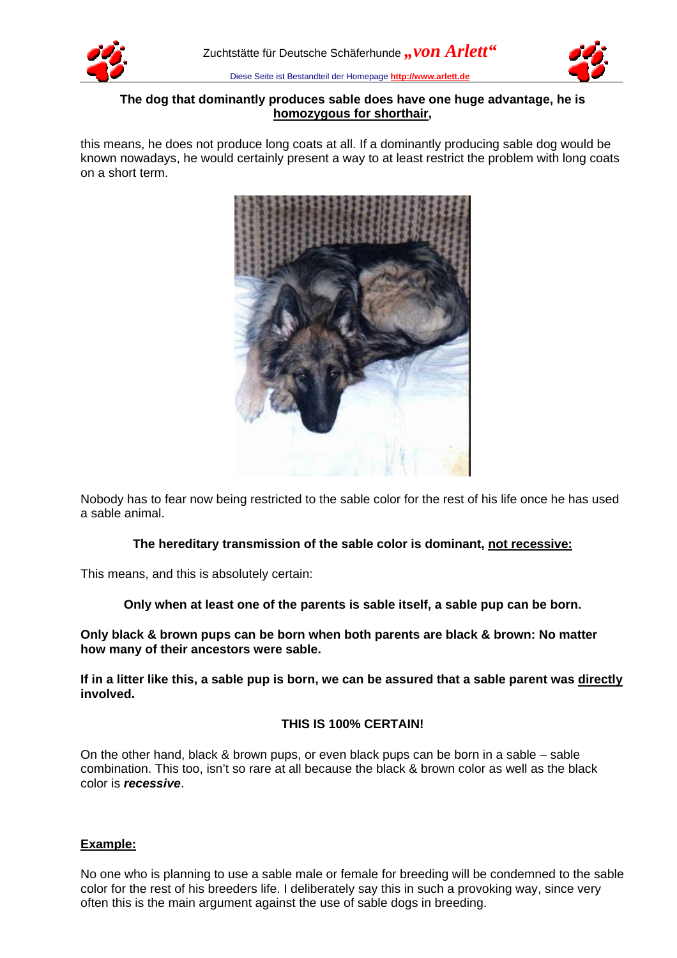



# **The dog that dominantly produces sable does have one huge advantage, he is homozygous for shorthair,**

this means, he does not produce long coats at all. If a dominantly producing sable dog would be known nowadays, he would certainly present a way to at least restrict the problem with long coats on a short term.



Nobody has to fear now being restricted to the sable color for the rest of his life once he has used a sable animal.

# **The hereditary transmission of the sable color is dominant, not recessive:**

This means, and this is absolutely certain:

# **Only when at least one of the parents is sable itself, a sable pup can be born.**

**Only black & brown pups can be born when both parents are black & brown: No matter how many of their ancestors were sable.**

**If in a litter like this, a sable pup is born, we can be assured that a sable parent was directly involved.**

# **THIS IS 100% CERTAIN!**

On the other hand, black & brown pups, or even black pups can be born in a sable – sable combination. This too, isn't so rare at all because the black & brown color as well as the black color is *recessive*.

# **Example:**

No one who is planning to use a sable male or female for breeding will be condemned to the sable color for the rest of his breeders life. I deliberately say this in such a provoking way, since very often this is the main argument against the use of sable dogs in breeding.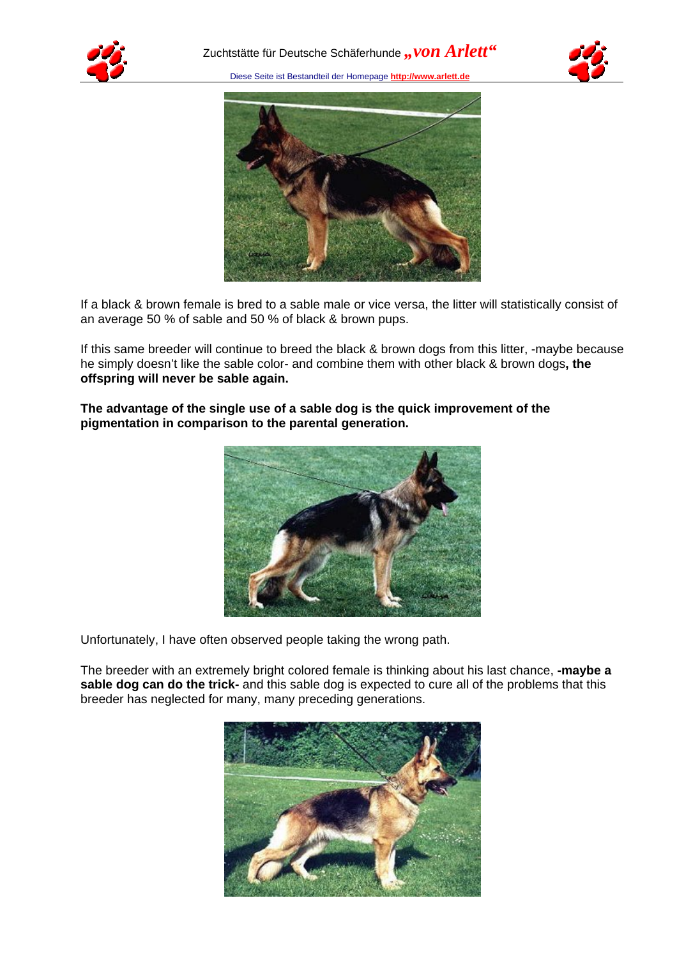





If a black & brown female is bred to a sable male or vice versa, the litter will statistically consist of an average 50 % of sable and 50 % of black & brown pups.

If this same breeder will continue to breed the black & brown dogs from this litter, -maybe because he simply doesn't like the sable color- and combine them with other black & brown dogs**, the offspring will never be sable again.**



**The advantage of the single use of a sable dog is the quick improvement of the pigmentation in comparison to the parental generation.**

Unfortunately, I have often observed people taking the wrong path.

The breeder with an extremely bright colored female is thinking about his last chance, **-maybe a sable dog can do the trick-** and this sable dog is expected to cure all of the problems that this breeder has neglected for many, many preceding generations.

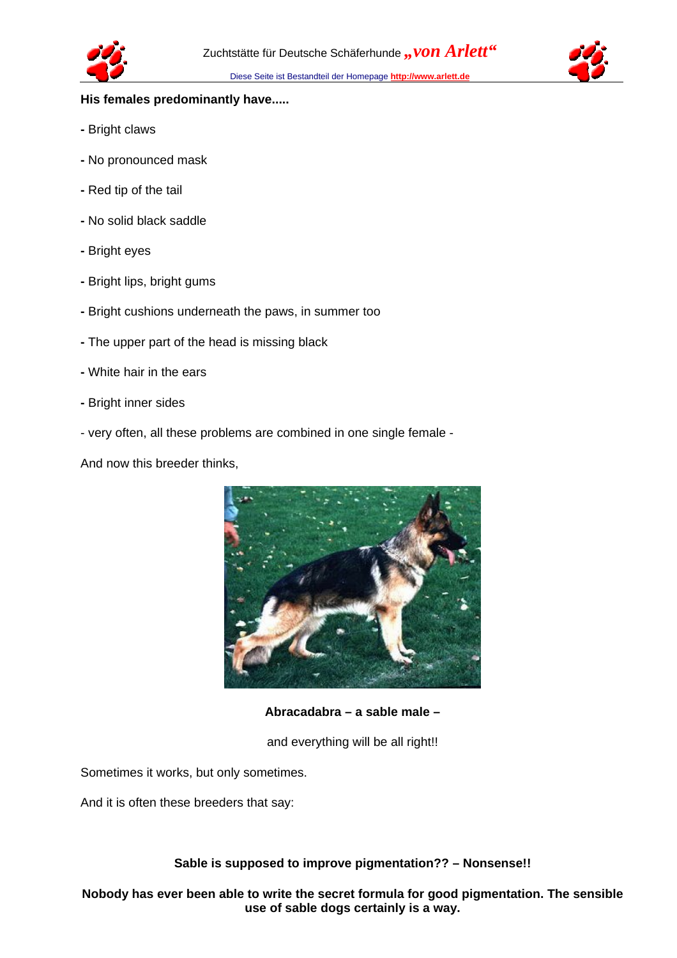

# **His females predominantly have.....**

- Bright claws
- No pronounced mask
- Red tip of the tail
- No solid black saddle
- Bright eyes
- Bright lips, bright gums
- Bright cushions underneath the paws, in summer too
- The upper part of the head is missing black
- White hair in the ears
- Bright inner sides
- very often, all these problems are combined in one single female -

And now this breeder thinks,



**Abracadabra – a sable male –**

and everything will be all right!!

Sometimes it works, but only sometimes.

And it is often these breeders that say:

**Sable is supposed to improve pigmentation?? – Nonsense!!**

**Nobody has ever been able to write the secret formula for good pigmentation. The sensible use of sable dogs certainly is a way.**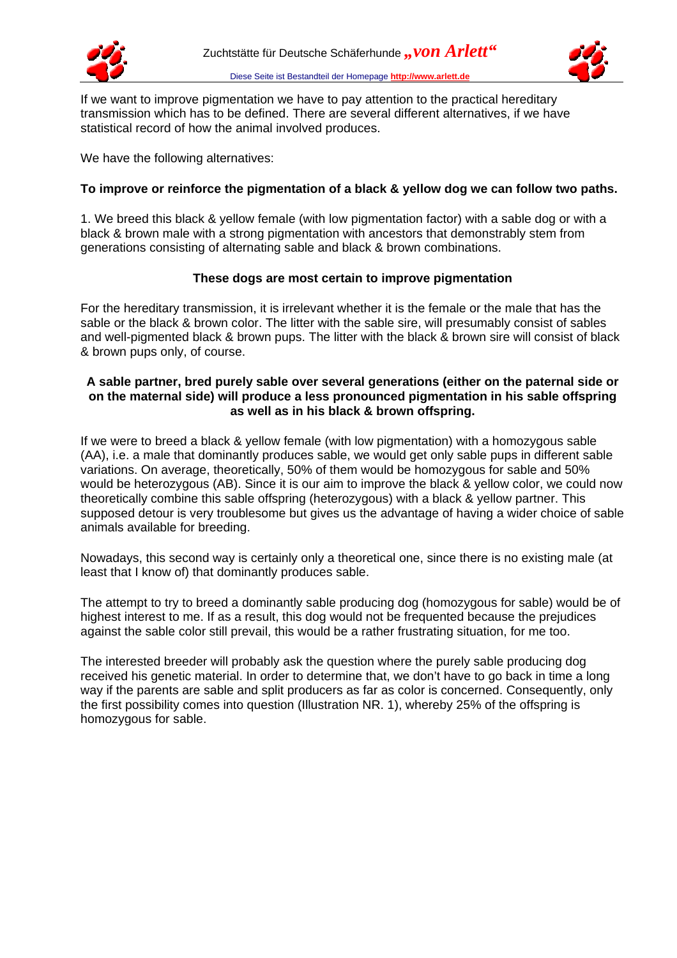



If we want to improve pigmentation we have to pay attention to the practical hereditary transmission which has to be defined. There are several different alternatives, if we have statistical record of how the animal involved produces.

We have the following alternatives:

# **To improve or reinforce the pigmentation of a black & yellow dog we can follow two paths.**

1. We breed this black & yellow female (with low pigmentation factor) with a sable dog or with a black & brown male with a strong pigmentation with ancestors that demonstrably stem from generations consisting of alternating sable and black & brown combinations.

## **These dogs are most certain to improve pigmentation**

For the hereditary transmission, it is irrelevant whether it is the female or the male that has the sable or the black & brown color. The litter with the sable sire, will presumably consist of sables and well-pigmented black & brown pups. The litter with the black & brown sire will consist of black & brown pups only, of course.

#### **A sable partner, bred purely sable over several generations (either on the paternal side or on the maternal side) will produce a less pronounced pigmentation in his sable offspring as well as in his black & brown offspring.**

If we were to breed a black & yellow female (with low pigmentation) with a homozygous sable (AA), i.e. a male that dominantly produces sable, we would get only sable pups in different sable variations. On average, theoretically, 50% of them would be homozygous for sable and 50% would be heterozygous (AB). Since it is our aim to improve the black & yellow color, we could now theoretically combine this sable offspring (heterozygous) with a black & yellow partner. This supposed detour is very troublesome but gives us the advantage of having a wider choice of sable animals available for breeding.

Nowadays, this second way is certainly only a theoretical one, since there is no existing male (at least that I know of) that dominantly produces sable.

The attempt to try to breed a dominantly sable producing dog (homozygous for sable) would be of highest interest to me. If as a result, this dog would not be frequented because the prejudices against the sable color still prevail, this would be a rather frustrating situation, for me too.

The interested breeder will probably ask the question where the purely sable producing dog received his genetic material. In order to determine that, we don't have to go back in time a long way if the parents are sable and split producers as far as color is concerned. Consequently, only the first possibility comes into question (Illustration NR. 1), whereby 25% of the offspring is homozygous for sable.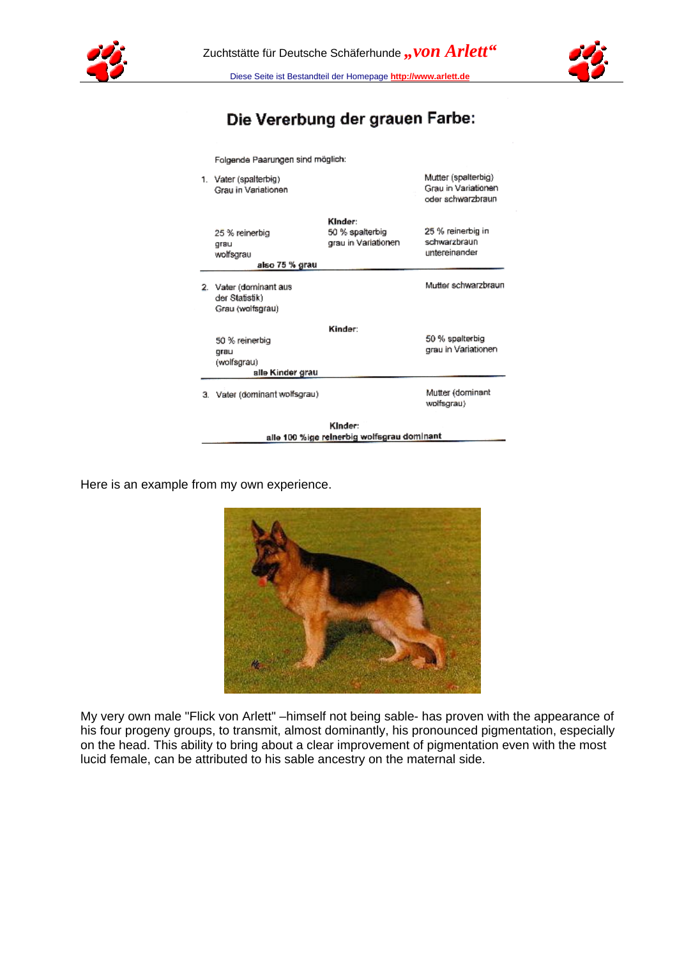



# Die Vererbung der grauen Farbe:

Folgende Paarungen sind möglich:

|    | Kinder:<br>alle 100 %ige reinerbig wolfsgrau dominant     |                                                   |                                                                 |  |  |  |  |
|----|-----------------------------------------------------------|---------------------------------------------------|-----------------------------------------------------------------|--|--|--|--|
|    | 3. Vater (dominant wolfsgrau)                             |                                                   | Mutter (dominant<br>wolfsgrau)                                  |  |  |  |  |
|    | alle Kinder grau                                          |                                                   |                                                                 |  |  |  |  |
|    | 50 % reinerbig<br>qrau<br>(wolfsgrau)                     | Kinder:                                           | 50 % spalterbig<br>grau in Variationen                          |  |  |  |  |
| 2. | Vater (dominant aus<br>der Statistik)<br>Grau (wolfsgrau) |                                                   | Mutter schwarzbraun                                             |  |  |  |  |
|    | 25 % reinerbig<br>grau<br>wolfsgrau<br>also 75 % grau     | Kinder:<br>50 % spalterbig<br>grau in Variationen | 25 % reinerbig in<br>schwarzbraun<br>untereinander              |  |  |  |  |
|    | 1. Vater (spalterbig)<br>Grau in Variationen              |                                                   | Mutter (spalterbig)<br>Grau in Variationen<br>oder schwarzbraun |  |  |  |  |

Here is an example from my own experience.



My very own male "Flick von Arlett" –himself not being sable- has proven with the appearance of his four progeny groups, to transmit, almost dominantly, his pronounced pigmentation, especially on the head. This ability to bring about a clear improvement of pigmentation even with the most lucid female, can be attributed to his sable ancestry on the maternal side.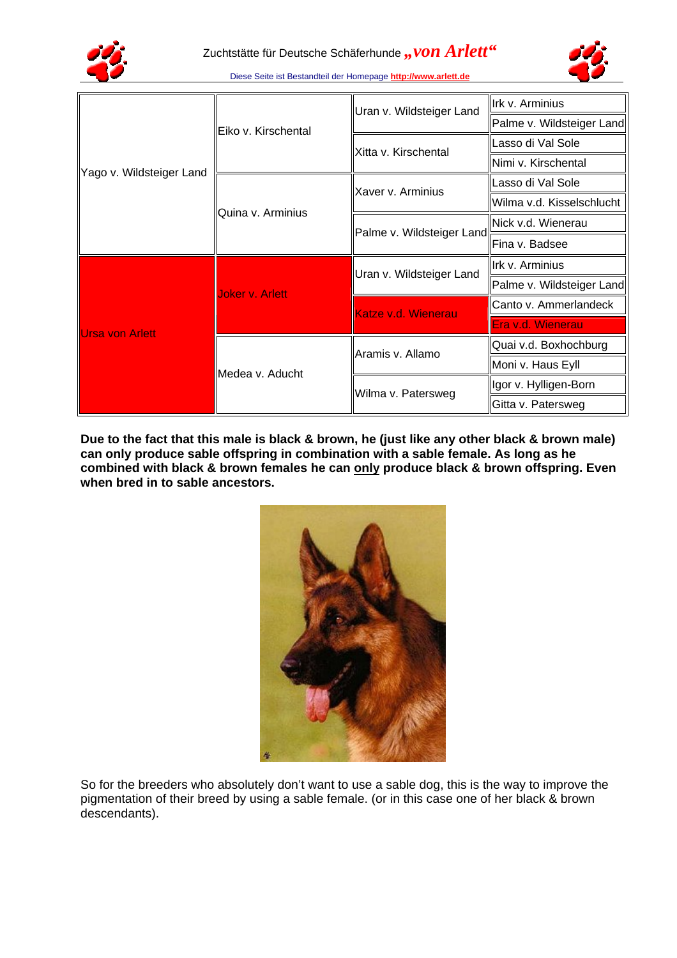



|                          | Eiko v. Kirschental    | Uran v. Wildsteiger Land  | Irk v. Arminius           |
|--------------------------|------------------------|---------------------------|---------------------------|
|                          |                        |                           | Palme v. Wildsteiger Land |
|                          |                        | Xitta v. Kirschental      | Lasso di Val Sole         |
|                          |                        |                           | Nimi v. Kirschental       |
| Yago v. Wildsteiger Land | Quina v. Arminius      | Xaver v. Arminius         | Lasso di Val Sole         |
|                          |                        |                           | Wilma v.d. Kisselschlucht |
|                          |                        | Palme v. Wildsteiger Land | lNick v.d. Wienerau       |
|                          |                        |                           | Fina v. Badsee            |
|                          | <b>Joker v. Arlett</b> | Uran v. Wildsteiger Land  | llrk v. Arminius          |
| <b>Ursa von Arlett</b>   |                        |                           | Palme v. Wildsteiger Land |
|                          |                        | Katze v.d. Wienerau       | Canto v. Ammerlandeck     |
|                          |                        |                           | Era v.d. Wienerau         |
|                          | Medea v. Aducht        | Aramis v. Allamo          | Quai v.d. Boxhochburg     |
|                          |                        |                           | Moni v. Haus Eyll         |
|                          |                        | Wilma v. Patersweg        | Igor v. Hylligen-Born     |
|                          |                        |                           | Gitta v. Patersweg        |

**Due to the fact that this male is black & brown, he (just like any other black & brown male) can only produce sable offspring in combination with a sable female. As long as he combined with black & brown females he can only produce black & brown offspring. Even when bred in to sable ancestors.**



So for the breeders who absolutely don't want to use a sable dog, this is the way to improve the pigmentation of their breed by using a sable female. (or in this case one of her black & brown descendants).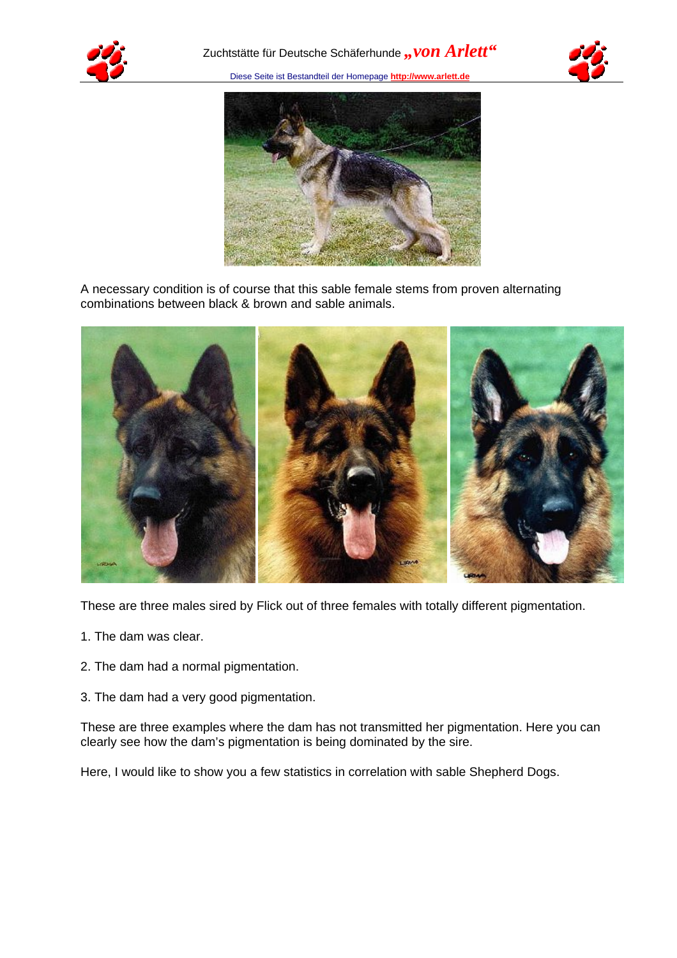





A necessary condition is of course that this sable female stems from proven alternating combinations between black & brown and sable animals.



These are three males sired by Flick out of three females with totally different pigmentation.

- 1. The dam was clear.
- 2. The dam had a normal pigmentation.
- 3. The dam had a very good pigmentation.

These are three examples where the dam has not transmitted her pigmentation. Here you can clearly see how the dam's pigmentation is being dominated by the sire.

Here, I would like to show you a few statistics in correlation with sable Shepherd Dogs.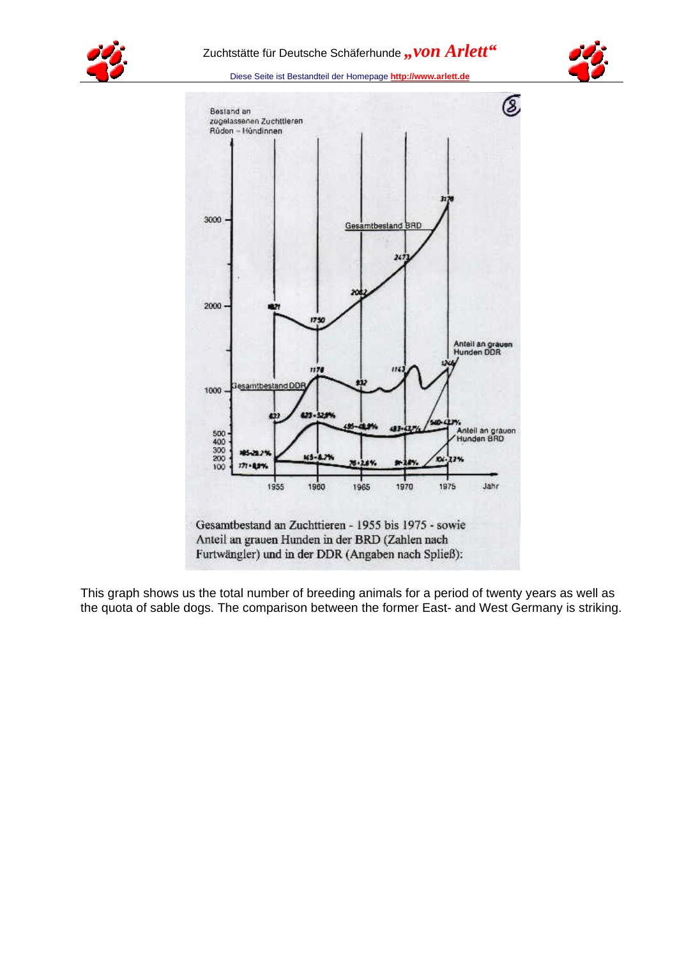







This graph shows us the total number of breeding animals for a period of twenty years as well as the quota of sable dogs. The comparison between the former East- and West Germany is striking.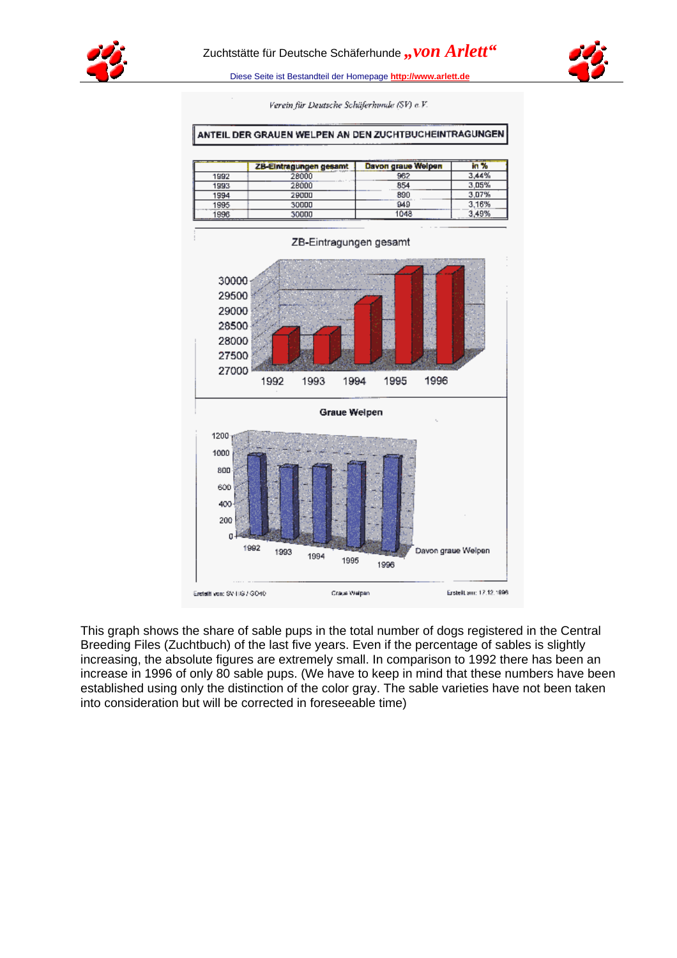



Verein für Deutsche Schäferhunde (SV) e.V.

#### ANTEIL DER GRAUEN WELPEN AN DEN ZUCHTBUCHEINTRAGUNGEN

|      | ZB-Eintragungen gesamt | Davon graue Welpen |       |
|------|------------------------|--------------------|-------|
| 1992 |                        | 982                | 3.44% |
| 1993 | 28000                  | 854                | 3,05% |
| 1994 | 29000                  | 890                | 3.07% |
| 1995 | 30000                  | 949                | 3.16% |
| 1996 | 30000                  | 1048               | 3.49% |



This graph shows the share of sable pups in the total number of dogs registered in the Central Breeding Files (Zuchtbuch) of the last five years. Even if the percentage of sables is slightly increasing, the absolute figures are extremely small. In comparison to 1992 there has been an increase in 1996 of only 80 sable pups. (We have to keep in mind that these numbers have been established using only the distinction of the color gray. The sable varieties have not been taken into consideration but will be corrected in foreseeable time)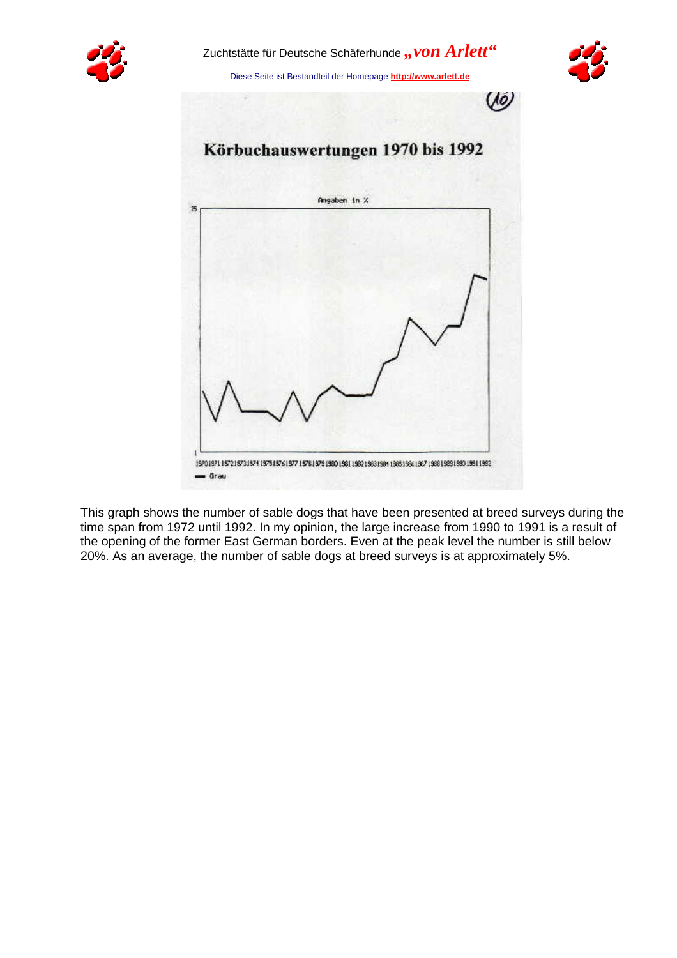





This graph shows the number of sable dogs that have been presented at breed surveys during the time span from 1972 until 1992. In my opinion, the large increase from 1990 to 1991 is a result of the opening of the former East German borders. Even at the peak level the number is still below 20%. As an average, the number of sable dogs at breed surveys is at approximately 5%.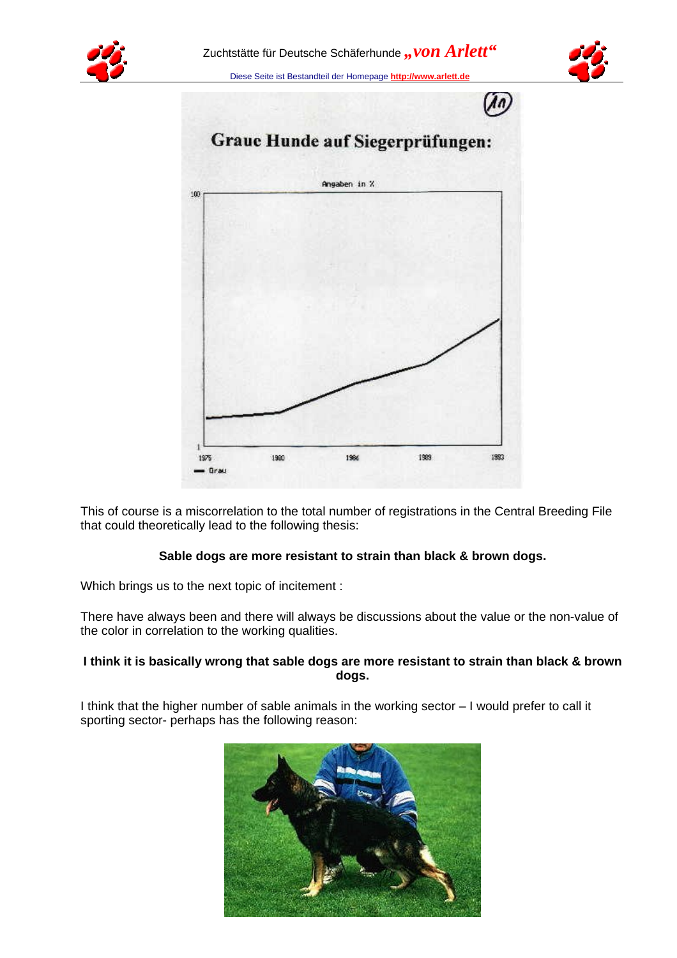





This of course is a miscorrelation to the total number of registrations in the Central Breeding File that could theoretically lead to the following thesis:

## **Sable dogs are more resistant to strain than black & brown dogs.**

Which brings us to the next topic of incitement :

There have always been and there will always be discussions about the value or the non-value of the color in correlation to the working qualities.

## **I think it is basically wrong that sable dogs are more resistant to strain than black & brown dogs.**

I think that the higher number of sable animals in the working sector – I would prefer to call it sporting sector- perhaps has the following reason:

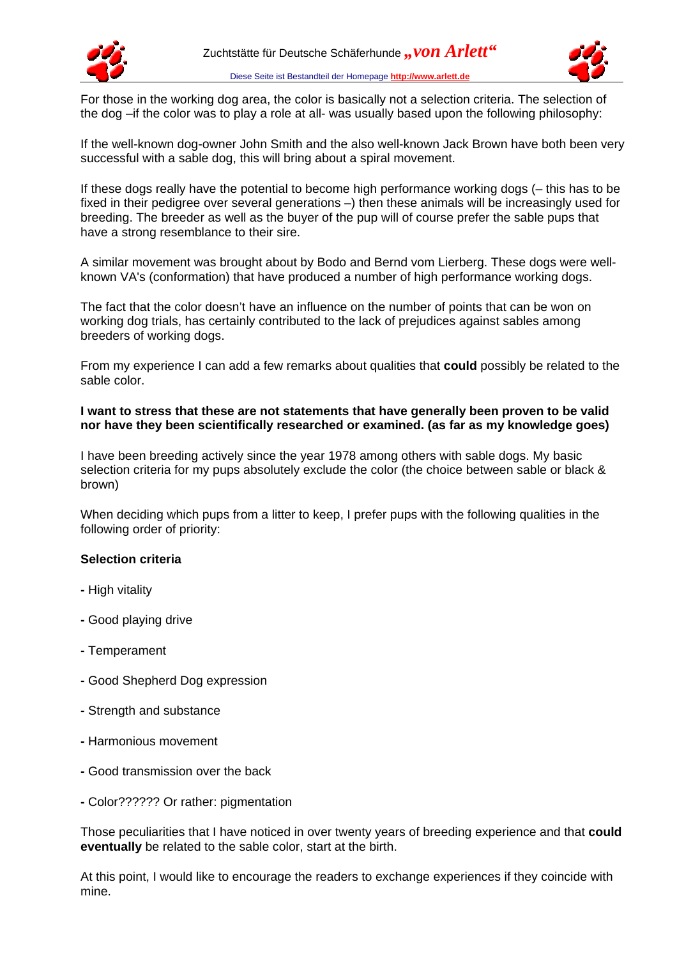



For those in the working dog area, the color is basically not a selection criteria. The selection of the dog –if the color was to play a role at all- was usually based upon the following philosophy:

If the well-known dog-owner John Smith and the also well-known Jack Brown have both been very successful with a sable dog, this will bring about a spiral movement.

If these dogs really have the potential to become high performance working dogs (– this has to be fixed in their pedigree over several generations –) then these animals will be increasingly used for breeding. The breeder as well as the buyer of the pup will of course prefer the sable pups that have a strong resemblance to their sire.

A similar movement was brought about by Bodo and Bernd vom Lierberg. These dogs were wellknown VA's (conformation) that have produced a number of high performance working dogs.

The fact that the color doesn't have an influence on the number of points that can be won on working dog trials, has certainly contributed to the lack of prejudices against sables among breeders of working dogs.

From my experience I can add a few remarks about qualities that **could** possibly be related to the sable color.

## **I want to stress that these are not statements that have generally been proven to be valid nor have they been scientifically researched or examined. (as far as my knowledge goes)**

I have been breeding actively since the year 1978 among others with sable dogs. My basic selection criteria for my pups absolutely exclude the color (the choice between sable or black & brown)

When deciding which pups from a litter to keep, I prefer pups with the following qualities in the following order of priority:

## **Selection criteria**

- High vitality
- Good playing drive
- Temperament
- Good Shepherd Dog expression
- Strength and substance
- Harmonious movement
- Good transmission over the back
- Color?????? Or rather: pigmentation

Those peculiarities that I have noticed in over twenty years of breeding experience and that **could eventually** be related to the sable color, start at the birth.

At this point, I would like to encourage the readers to exchange experiences if they coincide with mine.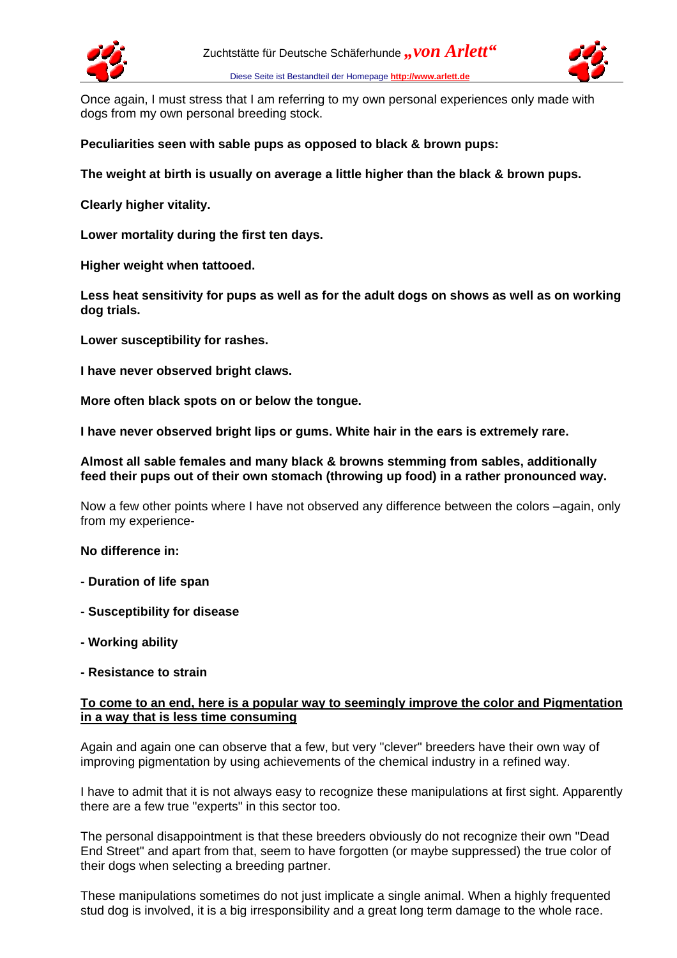



Once again, I must stress that I am referring to my own personal experiences only made with dogs from my own personal breeding stock.

## **Peculiarities seen with sable pups as opposed to black & brown pups:**

**The weight at birth is usually on average a little higher than the black & brown pups.**

**Clearly higher vitality.**

**Lower mortality during the first ten days.**

**Higher weight when tattooed.**

**Less heat sensitivity for pups as well as for the adult dogs on shows as well as on working dog trials.**

**Lower susceptibility for rashes.**

**I have never observed bright claws.**

**More often black spots on or below the tongue.**

**I have never observed bright lips or gums. White hair in the ears is extremely rare.**

#### **Almost all sable females and many black & browns stemming from sables, additionally feed their pups out of their own stomach (throwing up food) in a rather pronounced way.**

Now a few other points where I have not observed any difference between the colors –again, only from my experience-

**No difference in:**

- **Duration of life span**
- **Susceptibility for disease**
- **Working ability**
- **Resistance to strain**

#### **To come to an end, here is a popular way to seemingly improve the color and Pigmentation in a way that is less time consuming**

Again and again one can observe that a few, but very "clever" breeders have their own way of improving pigmentation by using achievements of the chemical industry in a refined way.

I have to admit that it is not always easy to recognize these manipulations at first sight. Apparently there are a few true "experts" in this sector too.

The personal disappointment is that these breeders obviously do not recognize their own "Dead End Street" and apart from that, seem to have forgotten (or maybe suppressed) the true color of their dogs when selecting a breeding partner.

These manipulations sometimes do not just implicate a single animal. When a highly frequented stud dog is involved, it is a big irresponsibility and a great long term damage to the whole race.